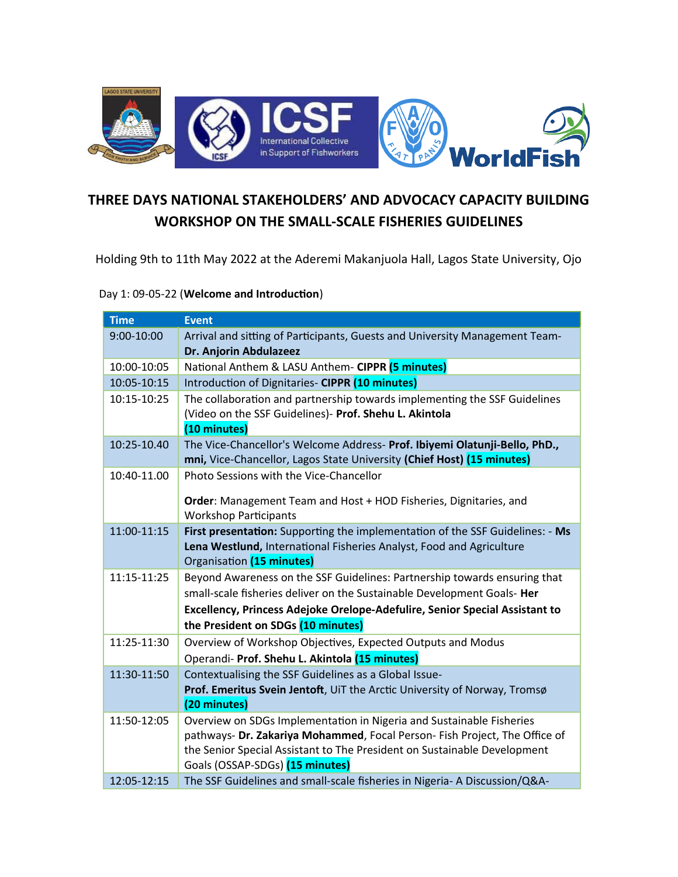

## **THREE DAYS NATIONAL STAKEHOLDERS' AND ADVOCACY CAPACITY BUILDING WORKSHOP ON THE SMALL-SCALE FISHERIES GUIDELINES**

Holding 9th to 11th May 2022 at the Aderemi Makanjuola Hall, Lagos State University, Ojo

Day 1: 09-05-22 (**Welcome and Introduction**)

| <b>Time</b> | <b>Event</b>                                                                                                                                                                                                                   |
|-------------|--------------------------------------------------------------------------------------------------------------------------------------------------------------------------------------------------------------------------------|
| 9:00-10:00  | Arrival and sitting of Participants, Guests and University Management Team-<br>Dr. Anjorin Abdulazeez                                                                                                                          |
| 10:00-10:05 | National Anthem & LASU Anthem- CIPPR (5 minutes)                                                                                                                                                                               |
| 10:05-10:15 | Introduction of Dignitaries- CIPPR (10 minutes)                                                                                                                                                                                |
| 10:15-10:25 | The collaboration and partnership towards implementing the SSF Guidelines<br>(Video on the SSF Guidelines)- Prof. Shehu L. Akintola<br>(10 minutes)                                                                            |
| 10:25-10.40 | The Vice-Chancellor's Welcome Address- Prof. Ibiyemi Olatunji-Bello, PhD.,<br>mni, Vice-Chancellor, Lagos State University (Chief Host) (15 minutes)                                                                           |
| 10:40-11.00 | Photo Sessions with the Vice-Chancellor                                                                                                                                                                                        |
|             | Order: Management Team and Host + HOD Fisheries, Dignitaries, and<br><b>Workshop Participants</b>                                                                                                                              |
| 11:00-11:15 | First presentation: Supporting the implementation of the SSF Guidelines: - Ms<br>Lena Westlund, International Fisheries Analyst, Food and Agriculture<br>Organisation (15 minutes)                                             |
| 11:15-11:25 | Beyond Awareness on the SSF Guidelines: Partnership towards ensuring that                                                                                                                                                      |
|             | small-scale fisheries deliver on the Sustainable Development Goals- Her                                                                                                                                                        |
|             | Excellency, Princess Adejoke Orelope-Adefulire, Senior Special Assistant to                                                                                                                                                    |
|             | the President on SDGs (10 minutes)                                                                                                                                                                                             |
| 11:25-11:30 | Overview of Workshop Objectives, Expected Outputs and Modus                                                                                                                                                                    |
|             | Operandi- Prof. Shehu L. Akintola (15 minutes)                                                                                                                                                                                 |
| 11:30-11:50 | Contextualising the SSF Guidelines as a Global Issue-                                                                                                                                                                          |
|             | Prof. Emeritus Svein Jentoft, UiT the Arctic University of Norway, Tromsø<br>(20 minutes)                                                                                                                                      |
| 11:50-12:05 | Overview on SDGs Implementation in Nigeria and Sustainable Fisheries<br>pathways- Dr. Zakariya Mohammed, Focal Person- Fish Project, The Office of<br>the Senior Special Assistant to The President on Sustainable Development |
| 12:05-12:15 | Goals (OSSAP-SDGs) (15 minutes)<br>The SSF Guidelines and small-scale fisheries in Nigeria- A Discussion/Q&A-                                                                                                                  |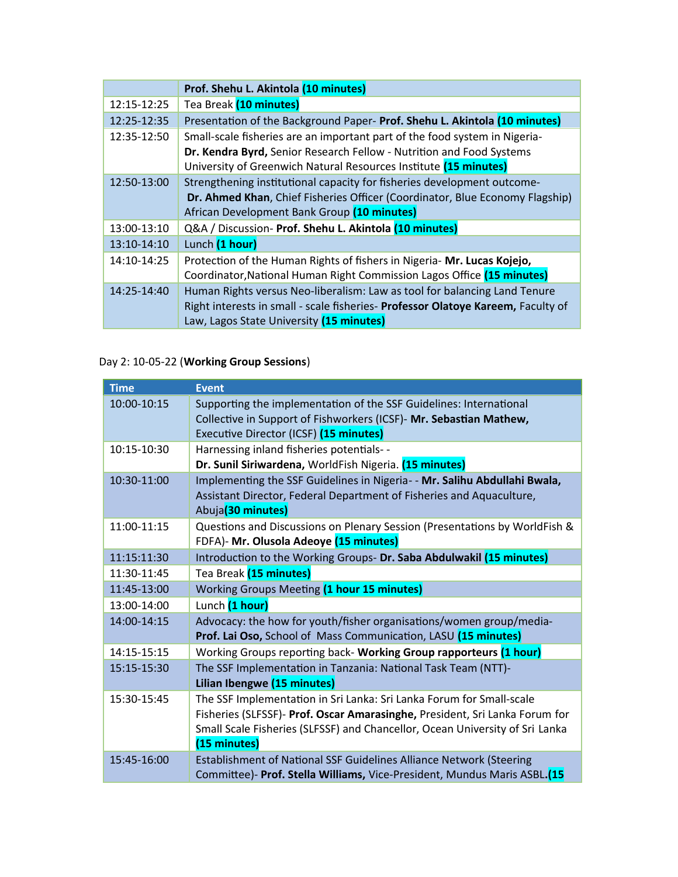|             | Prof. Shehu L. Akintola (10 minutes)                                                                                                                                                                                   |
|-------------|------------------------------------------------------------------------------------------------------------------------------------------------------------------------------------------------------------------------|
| 12:15-12:25 | Tea Break (10 minutes)                                                                                                                                                                                                 |
| 12:25-12:35 | Presentation of the Background Paper- Prof. Shehu L. Akintola (10 minutes)                                                                                                                                             |
| 12:35-12:50 | Small-scale fisheries are an important part of the food system in Nigeria-<br>Dr. Kendra Byrd, Senior Research Fellow - Nutrition and Food Systems<br>University of Greenwich Natural Resources Institute (15 minutes) |
| 12:50-13:00 | Strengthening institutional capacity for fisheries development outcome-<br>Dr. Ahmed Khan, Chief Fisheries Officer (Coordinator, Blue Economy Flagship)<br>African Development Bank Group (10 minutes)                 |
| 13:00-13:10 | Q&A / Discussion- Prof. Shehu L. Akintola (10 minutes)                                                                                                                                                                 |
| 13:10-14:10 | Lunch (1 hour)                                                                                                                                                                                                         |
| 14:10-14:25 | Protection of the Human Rights of fishers in Nigeria- Mr. Lucas Kojejo,<br>Coordinator, National Human Right Commission Lagos Office (15 minutes)                                                                      |
| 14:25-14:40 | Human Rights versus Neo-liberalism: Law as tool for balancing Land Tenure<br>Right interests in small - scale fisheries- Professor Olatoye Kareem, Faculty of<br>Law, Lagos State University (15 minutes)              |

## Day 2: 10-05-22 (**Working Group Sessions**)

| <b>Time</b> | <b>Event</b>                                                                 |
|-------------|------------------------------------------------------------------------------|
| 10:00-10:15 | Supporting the implementation of the SSF Guidelines: International           |
|             | Collective in Support of Fishworkers (ICSF)- Mr. Sebastian Mathew,           |
|             | Executive Director (ICSF) (15 minutes)                                       |
| 10:15-10:30 | Harnessing inland fisheries potentials- -                                    |
|             | Dr. Sunil Siriwardena, WorldFish Nigeria. (15 minutes)                       |
| 10:30-11:00 | Implementing the SSF Guidelines in Nigeria- - Mr. Salihu Abdullahi Bwala,    |
|             | Assistant Director, Federal Department of Fisheries and Aquaculture,         |
|             | Abuja(30 minutes)                                                            |
| 11:00-11:15 | Questions and Discussions on Plenary Session (Presentations by WorldFish &   |
|             | FDFA)- Mr. Olusola Adeoye (15 minutes)                                       |
| 11:15:11:30 | Introduction to the Working Groups- Dr. Saba Abdulwakil (15 minutes)         |
| 11:30-11:45 | Tea Break (15 minutes)                                                       |
| 11:45-13:00 | Working Groups Meeting (1 hour 15 minutes)                                   |
| 13:00-14:00 | Lunch (1 hour)                                                               |
| 14:00-14:15 | Advocacy: the how for youth/fisher organisations/women group/media-          |
|             | Prof. Lai Oso, School of Mass Communication, LASU (15 minutes)               |
| 14:15-15:15 | Working Groups reporting back- Working Group rapporteurs (1 hour)            |
| 15:15-15:30 | The SSF Implementation in Tanzania: National Task Team (NTT)-                |
|             | Lilian Ibengwe (15 minutes)                                                  |
| 15:30-15:45 | The SSF Implementation in Sri Lanka: Sri Lanka Forum for Small-scale         |
|             | Fisheries (SLFSSF)- Prof. Oscar Amarasinghe, President, Sri Lanka Forum for  |
|             | Small Scale Fisheries (SLFSSF) and Chancellor, Ocean University of Sri Lanka |
|             | (15 minutes)                                                                 |
| 15:45-16:00 | Establishment of National SSF Guidelines Alliance Network (Steering          |
|             | Committee)- Prof. Stella Williams, Vice-President, Mundus Maris ASBL.(15     |